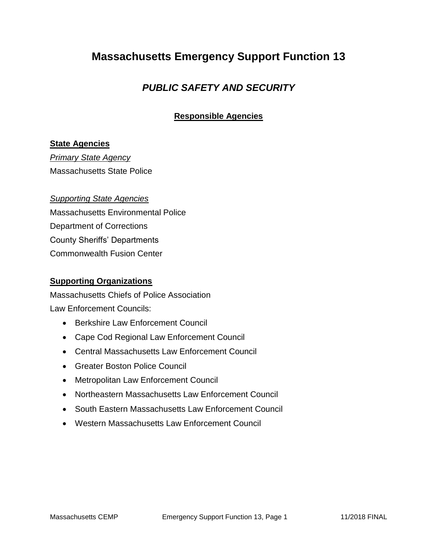## **Massachusetts Emergency Support Function 13**

### *PUBLIC SAFETY AND SECURITY*

#### **Responsible Agencies**

#### **State Agencies**

*Primary State Agency* Massachusetts State Police

#### *Supporting State Agencies*

Massachusetts Environmental Police Department of Corrections County Sheriffs' Departments Commonwealth Fusion Center

#### **Supporting Organizations**

Massachusetts Chiefs of Police Association Law Enforcement Councils:

- Berkshire Law Enforcement Council
- Cape Cod Regional Law Enforcement Council
- Central Massachusetts Law Enforcement Council
- Greater Boston Police Council
- Metropolitan Law Enforcement Council
- Northeastern Massachusetts Law Enforcement Council
- South Eastern Massachusetts Law Enforcement Council
- Western Massachusetts Law Enforcement Council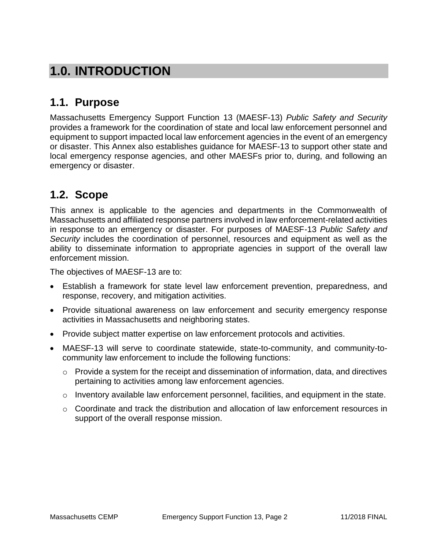# **1.0. INTRODUCTION**

### **1.1. Purpose**

Massachusetts Emergency Support Function 13 (MAESF-13) *Public Safety and Security* provides a framework for the coordination of state and local law enforcement personnel and equipment to support impacted local law enforcement agencies in the event of an emergency or disaster. This Annex also establishes guidance for MAESF-13 to support other state and local emergency response agencies, and other MAESFs prior to, during, and following an emergency or disaster.

## **1.2. Scope**

This annex is applicable to the agencies and departments in the Commonwealth of Massachusetts and affiliated response partners involved in law enforcement-related activities in response to an emergency or disaster. For purposes of MAESF-13 *Public Safety and Security* includes the coordination of personnel, resources and equipment as well as the ability to disseminate information to appropriate agencies in support of the overall law enforcement mission.

The objectives of MAESF-13 are to:

- Establish a framework for state level law enforcement prevention, preparedness, and response, recovery, and mitigation activities.
- Provide situational awareness on law enforcement and security emergency response activities in Massachusetts and neighboring states.
- Provide subject matter expertise on law enforcement protocols and activities.
- MAESF-13 will serve to coordinate statewide, state-to-community, and community-tocommunity law enforcement to include the following functions:
	- $\circ$  Provide a system for the receipt and dissemination of information, data, and directives pertaining to activities among law enforcement agencies.
	- $\circ$  Inventory available law enforcement personnel, facilities, and equipment in the state.
	- $\circ$  Coordinate and track the distribution and allocation of law enforcement resources in support of the overall response mission.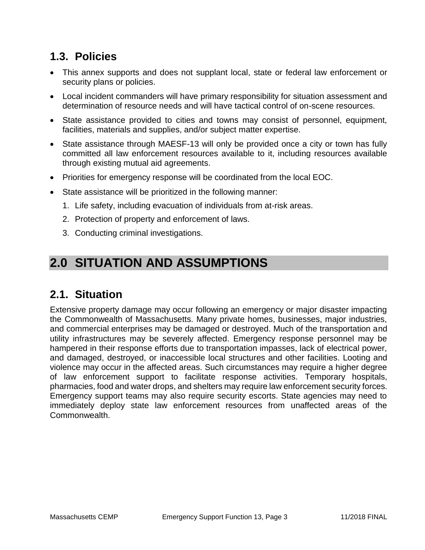## **1.3. Policies**

- This annex supports and does not supplant local, state or federal law enforcement or security plans or policies.
- Local incident commanders will have primary responsibility for situation assessment and determination of resource needs and will have tactical control of on-scene resources.
- State assistance provided to cities and towns may consist of personnel, equipment, facilities, materials and supplies, and/or subject matter expertise.
- State assistance through MAESF-13 will only be provided once a city or town has fully committed all law enforcement resources available to it, including resources available through existing mutual aid agreements.
- Priorities for emergency response will be coordinated from the local EOC.
- State assistance will be prioritized in the following manner:
	- 1. Life safety, including evacuation of individuals from at-risk areas.
	- 2. Protection of property and enforcement of laws.
	- 3. Conducting criminal investigations.

# **2.0 SITUATION AND ASSUMPTIONS**

### **2.1. Situation**

Extensive property damage may occur following an emergency or major disaster impacting the Commonwealth of Massachusetts. Many private homes, businesses, major industries, and commercial enterprises may be damaged or destroyed. Much of the transportation and utility infrastructures may be severely affected. Emergency response personnel may be hampered in their response efforts due to transportation impasses, lack of electrical power, and damaged, destroyed, or inaccessible local structures and other facilities. Looting and violence may occur in the affected areas. Such circumstances may require a higher degree of law enforcement support to facilitate response activities. Temporary hospitals, pharmacies, food and water drops, and shelters may require law enforcement security forces. Emergency support teams may also require security escorts. State agencies may need to immediately deploy state law enforcement resources from unaffected areas of the Commonwealth.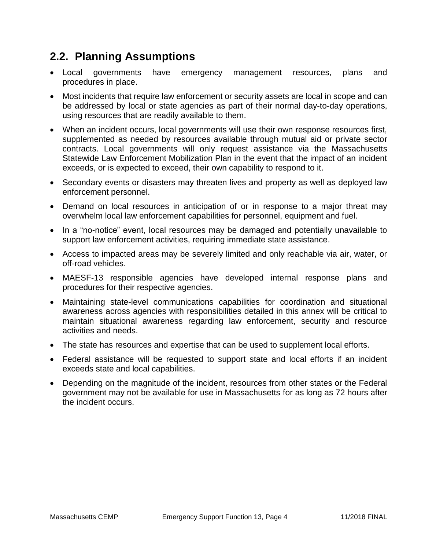## **2.2. Planning Assumptions**

- Local governments have emergency management resources, plans and procedures in place.
- Most incidents that require law enforcement or security assets are local in scope and can be addressed by local or state agencies as part of their normal day-to-day operations, using resources that are readily available to them.
- When an incident occurs, local governments will use their own response resources first, supplemented as needed by resources available through mutual aid or private sector contracts. Local governments will only request assistance via the Massachusetts Statewide Law Enforcement Mobilization Plan in the event that the impact of an incident exceeds, or is expected to exceed, their own capability to respond to it.
- Secondary events or disasters may threaten lives and property as well as deployed law enforcement personnel.
- Demand on local resources in anticipation of or in response to a major threat may overwhelm local law enforcement capabilities for personnel, equipment and fuel.
- In a "no-notice" event, local resources may be damaged and potentially unavailable to support law enforcement activities, requiring immediate state assistance.
- Access to impacted areas may be severely limited and only reachable via air, water, or off-road vehicles.
- MAESF-13 responsible agencies have developed internal response plans and procedures for their respective agencies.
- Maintaining state-level communications capabilities for coordination and situational awareness across agencies with responsibilities detailed in this annex will be critical to maintain situational awareness regarding law enforcement, security and resource activities and needs.
- The state has resources and expertise that can be used to supplement local efforts.
- Federal assistance will be requested to support state and local efforts if an incident exceeds state and local capabilities.
- Depending on the magnitude of the incident, resources from other states or the Federal government may not be available for use in Massachusetts for as long as 72 hours after the incident occurs.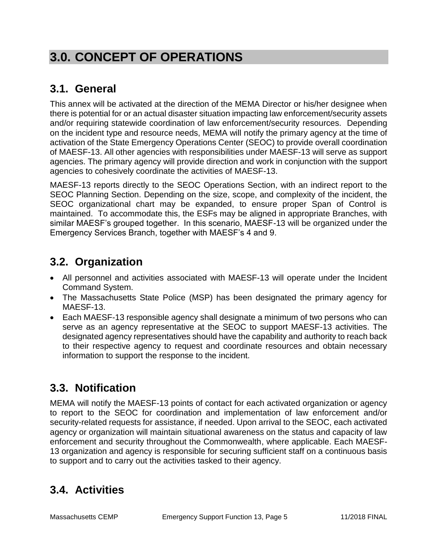# **3.0. CONCEPT OF OPERATIONS**

# **3.1. General**

This annex will be activated at the direction of the MEMA Director or his/her designee when there is potential for or an actual disaster situation impacting law enforcement/security assets and/or requiring statewide coordination of law enforcement/security resources. Depending on the incident type and resource needs, MEMA will notify the primary agency at the time of activation of the State Emergency Operations Center (SEOC) to provide overall coordination of MAESF-13. All other agencies with responsibilities under MAESF-13 will serve as support agencies. The primary agency will provide direction and work in conjunction with the support agencies to cohesively coordinate the activities of MAESF-13.

MAESF-13 reports directly to the SEOC Operations Section, with an indirect report to the SEOC Planning Section. Depending on the size, scope, and complexity of the incident, the SEOC organizational chart may be expanded, to ensure proper Span of Control is maintained. To accommodate this, the ESFs may be aligned in appropriate Branches, with similar MAESF's grouped together. In this scenario, MAESF-13 will be organized under the Emergency Services Branch, together with MAESF's 4 and 9.

## **3.2. Organization**

- All personnel and activities associated with MAESF-13 will operate under the Incident Command System.
- The Massachusetts State Police (MSP) has been designated the primary agency for MAESF-13.
- Each MAESF-13 responsible agency shall designate a minimum of two persons who can serve as an agency representative at the SEOC to support MAESF-13 activities. The designated agency representatives should have the capability and authority to reach back to their respective agency to request and coordinate resources and obtain necessary information to support the response to the incident.

# **3.3. Notification**

MEMA will notify the MAESF-13 points of contact for each activated organization or agency to report to the SEOC for coordination and implementation of law enforcement and/or security-related requests for assistance, if needed. Upon arrival to the SEOC, each activated agency or organization will maintain situational awareness on the status and capacity of law enforcement and security throughout the Commonwealth, where applicable. Each MAESF-13 organization and agency is responsible for securing sufficient staff on a continuous basis to support and to carry out the activities tasked to their agency.

# **3.4. Activities**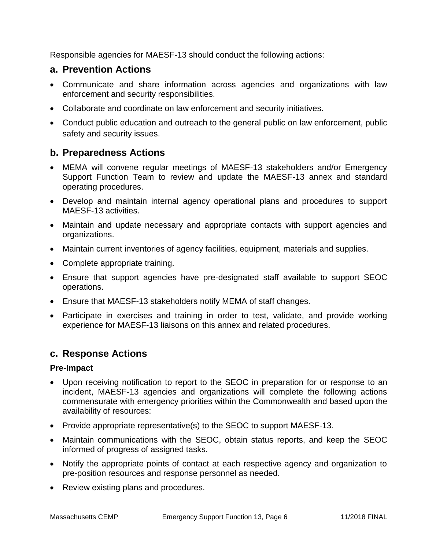Responsible agencies for MAESF-13 should conduct the following actions:

#### **a. Prevention Actions**

- Communicate and share information across agencies and organizations with law enforcement and security responsibilities.
- Collaborate and coordinate on law enforcement and security initiatives.
- Conduct public education and outreach to the general public on law enforcement, public safety and security issues.

#### **b. Preparedness Actions**

- MEMA will convene regular meetings of MAESF-13 stakeholders and/or Emergency Support Function Team to review and update the MAESF-13 annex and standard operating procedures.
- Develop and maintain internal agency operational plans and procedures to support MAESF-13 activities.
- Maintain and update necessary and appropriate contacts with support agencies and organizations.
- Maintain current inventories of agency facilities, equipment, materials and supplies.
- Complete appropriate training.
- Ensure that support agencies have pre-designated staff available to support SEOC operations.
- Ensure that MAESF-13 stakeholders notify MEMA of staff changes.
- Participate in exercises and training in order to test, validate, and provide working experience for MAESF-13 liaisons on this annex and related procedures.

#### **c. Response Actions**

#### **Pre-Impact**

- Upon receiving notification to report to the SEOC in preparation for or response to an incident, MAESF-13 agencies and organizations will complete the following actions commensurate with emergency priorities within the Commonwealth and based upon the availability of resources:
- Provide appropriate representative(s) to the SEOC to support MAESF-13.
- Maintain communications with the SEOC, obtain status reports, and keep the SEOC informed of progress of assigned tasks.
- Notify the appropriate points of contact at each respective agency and organization to pre-position resources and response personnel as needed.
- Review existing plans and procedures.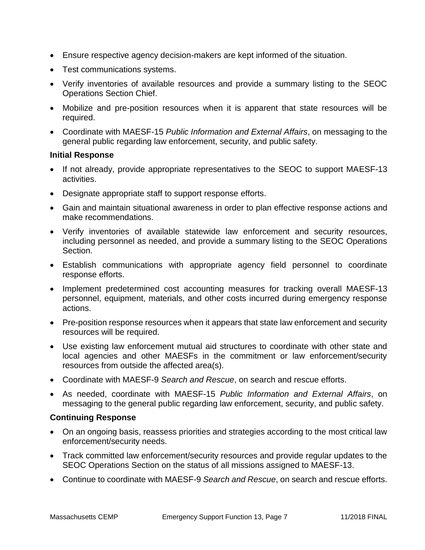- Ensure respective agency decision-makers are kept informed of the situation.
- Test communications systems.
- Verify inventories of available resources and provide a summary listing to the SEOC Operations Section Chief.
- Mobilize and pre-position resources when it is apparent that state resources will be required.
- Coordinate with MAESF-15 *Public Information and External Affairs*, on messaging to the general public regarding law enforcement, security, and public safety.

#### **Initial Response**

- If not already, provide appropriate representatives to the SEOC to support MAESF-13 activities.
- Designate appropriate staff to support response efforts.
- Gain and maintain situational awareness in order to plan effective response actions and make recommendations.
- Verify inventories of available statewide law enforcement and security resources, including personnel as needed, and provide a summary listing to the SEOC Operations Section.
- Establish communications with appropriate agency field personnel to coordinate response efforts.
- Implement predetermined cost accounting measures for tracking overall MAESF-13 personnel, equipment, materials, and other costs incurred during emergency response actions.
- Pre-position response resources when it appears that state law enforcement and security resources will be required.
- Use existing law enforcement mutual aid structures to coordinate with other state and local agencies and other MAESFs in the commitment or law enforcement/security resources from outside the affected area(s).
- Coordinate with MAESF-9 *Search and Rescue*, on search and rescue efforts.
- As needed, coordinate with MAESF-15 *Public Information and External Affairs*, on messaging to the general public regarding law enforcement, security, and public safety.

#### **Continuing Response**

- On an ongoing basis, reassess priorities and strategies according to the most critical law enforcement/security needs.
- Track committed law enforcement/security resources and provide regular updates to the SEOC Operations Section on the status of all missions assigned to MAESF-13.
- Continue to coordinate with MAESF-9 *Search and Rescue*, on search and rescue efforts.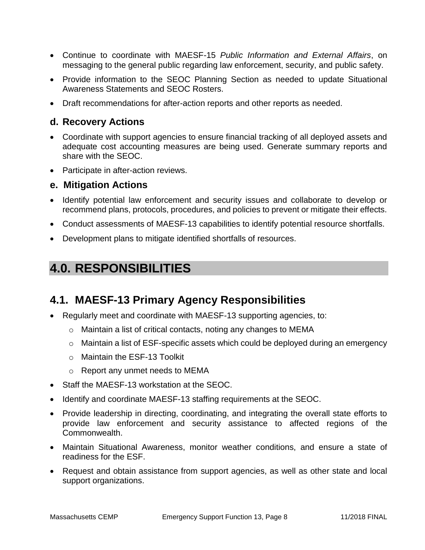- Continue to coordinate with MAESF-15 *Public Information and External Affairs*, on messaging to the general public regarding law enforcement, security, and public safety.
- Provide information to the SEOC Planning Section as needed to update Situational Awareness Statements and SEOC Rosters.
- Draft recommendations for after-action reports and other reports as needed.

#### **d. Recovery Actions**

- Coordinate with support agencies to ensure financial tracking of all deployed assets and adequate cost accounting measures are being used. Generate summary reports and share with the SEOC.
- Participate in after-action reviews.

#### **e. Mitigation Actions**

- Identify potential law enforcement and security issues and collaborate to develop or recommend plans, protocols, procedures, and policies to prevent or mitigate their effects.
- Conduct assessments of MAESF-13 capabilities to identify potential resource shortfalls.
- Development plans to mitigate identified shortfalls of resources.

# **4.0. RESPONSIBILITIES**

### **4.1. MAESF-13 Primary Agency Responsibilities**

- Regularly meet and coordinate with MAESF-13 supporting agencies, to:
	- o Maintain a list of critical contacts, noting any changes to MEMA
	- o Maintain a list of ESF-specific assets which could be deployed during an emergency
	- o Maintain the ESF-13 Toolkit
	- o Report any unmet needs to MEMA
- Staff the MAESF-13 workstation at the SEOC.
- Identify and coordinate MAESF-13 staffing requirements at the SEOC.
- Provide leadership in directing, coordinating, and integrating the overall state efforts to provide law enforcement and security assistance to affected regions of the Commonwealth.
- Maintain Situational Awareness, monitor weather conditions, and ensure a state of readiness for the ESF.
- Request and obtain assistance from support agencies, as well as other state and local support organizations.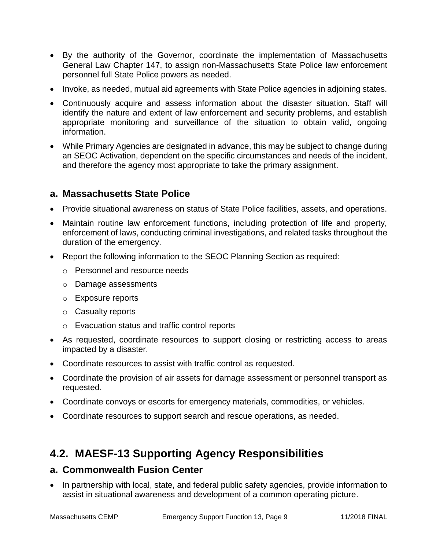- By the authority of the Governor, coordinate the implementation of Massachusetts General Law Chapter 147, to assign non-Massachusetts State Police law enforcement personnel full State Police powers as needed.
- Invoke, as needed, mutual aid agreements with State Police agencies in adjoining states.
- Continuously acquire and assess information about the disaster situation. Staff will identify the nature and extent of law enforcement and security problems, and establish appropriate monitoring and surveillance of the situation to obtain valid, ongoing information.
- While Primary Agencies are designated in advance, this may be subject to change during an SEOC Activation, dependent on the specific circumstances and needs of the incident, and therefore the agency most appropriate to take the primary assignment.

#### **a. Massachusetts State Police**

- Provide situational awareness on status of State Police facilities, assets, and operations.
- Maintain routine law enforcement functions, including protection of life and property, enforcement of laws, conducting criminal investigations, and related tasks throughout the duration of the emergency.
- Report the following information to the SEOC Planning Section as required:
	- o Personnel and resource needs
	- o Damage assessments
	- o Exposure reports
	- o Casualty reports
	- o Evacuation status and traffic control reports
- As requested, coordinate resources to support closing or restricting access to areas impacted by a disaster.
- Coordinate resources to assist with traffic control as requested.
- Coordinate the provision of air assets for damage assessment or personnel transport as requested.
- Coordinate convoys or escorts for emergency materials, commodities, or vehicles.
- Coordinate resources to support search and rescue operations, as needed.

## **4.2. MAESF-13 Supporting Agency Responsibilities**

#### **a. Commonwealth Fusion Center**

• In partnership with local, state, and federal public safety agencies, provide information to assist in situational awareness and development of a common operating picture.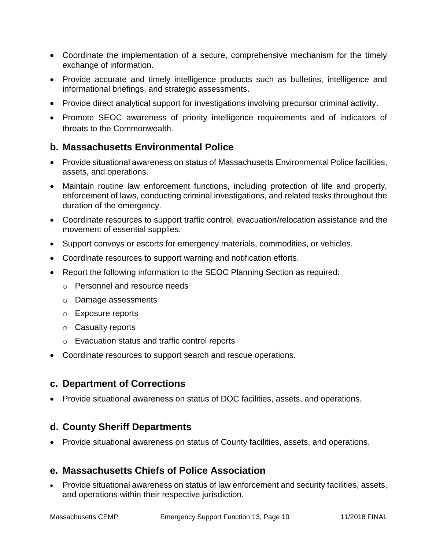- Coordinate the implementation of a secure, comprehensive mechanism for the timely exchange of information.
- Provide accurate and timely intelligence products such as bulletins, intelligence and informational briefings, and strategic assessments.
- Provide direct analytical support for investigations involving precursor criminal activity.
- Promote SEOC awareness of priority intelligence requirements and of indicators of threats to the Commonwealth.

#### **b. Massachusetts Environmental Police**

- Provide situational awareness on status of Massachusetts Environmental Police facilities, assets, and operations.
- Maintain routine law enforcement functions, including protection of life and property, enforcement of laws, conducting criminal investigations, and related tasks throughout the duration of the emergency.
- Coordinate resources to support traffic control, evacuation/relocation assistance and the movement of essential supplies.
- Support convoys or escorts for emergency materials, commodities, or vehicles.
- Coordinate resources to support warning and notification efforts.
- Report the following information to the SEOC Planning Section as required:
	- o Personnel and resource needs
	- o Damage assessments
	- o Exposure reports
	- o Casualty reports
	- o Evacuation status and traffic control reports
- Coordinate resources to support search and rescue operations.

#### **c. Department of Corrections**

Provide situational awareness on status of DOC facilities, assets, and operations.

#### **d. County Sheriff Departments**

Provide situational awareness on status of County facilities, assets, and operations.

#### **e. Massachusetts Chiefs of Police Association**

 Provide situational awareness on status of law enforcement and security facilities, assets, and operations within their respective jurisdiction.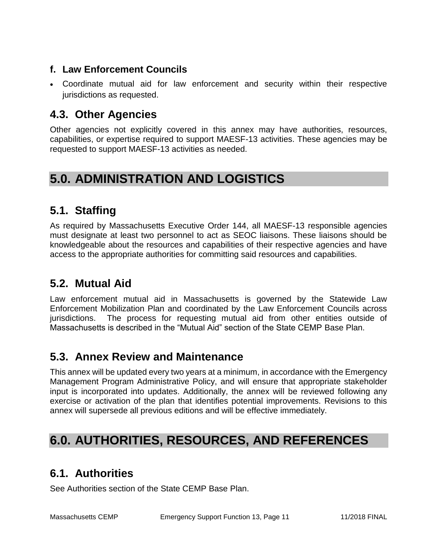### **f. Law Enforcement Councils**

 Coordinate mutual aid for law enforcement and security within their respective jurisdictions as requested.

## **4.3. Other Agencies**

Other agencies not explicitly covered in this annex may have authorities, resources, capabilities, or expertise required to support MAESF-13 activities. These agencies may be requested to support MAESF-13 activities as needed.

# **5.0. ADMINISTRATION AND LOGISTICS**

# **5.1. Staffing**

As required by Massachusetts Executive Order 144, all MAESF-13 responsible agencies must designate at least two personnel to act as SEOC liaisons. These liaisons should be knowledgeable about the resources and capabilities of their respective agencies and have access to the appropriate authorities for committing said resources and capabilities.

## **5.2. Mutual Aid**

Law enforcement mutual aid in Massachusetts is governed by the Statewide Law Enforcement Mobilization Plan and coordinated by the Law Enforcement Councils across jurisdictions. The process for requesting mutual aid from other entities outside of Massachusetts is described in the "Mutual Aid" section of the State CEMP Base Plan.

### **5.3. Annex Review and Maintenance**

This annex will be updated every two years at a minimum, in accordance with the Emergency Management Program Administrative Policy, and will ensure that appropriate stakeholder input is incorporated into updates. Additionally, the annex will be reviewed following any exercise or activation of the plan that identifies potential improvements. Revisions to this annex will supersede all previous editions and will be effective immediately.

# **6.0. AUTHORITIES, RESOURCES, AND REFERENCES**

# **6.1. Authorities**

See Authorities section of the State CEMP Base Plan.